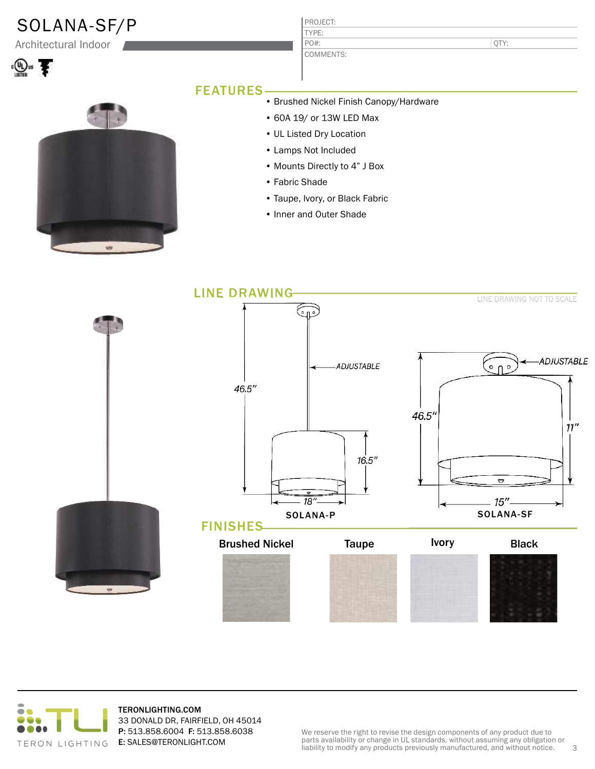## SOLANA-SF/P

Architectural Indoor





### PROJECT: COMMENTS:

QTY:

#### FEATURES

- Brushed Nickel Finish Canopy/Hardware
	- 60A 19/ or 13W LED Max
	- UL Listed Dry Location

TYPE:

PO#:

- Lamps Not Included
- Mounts Directly to 4" J Box
- Fabric Shade
- Taupe, Ivory, or Black Fabric
- Inner and Outer Shade





TERONLIGHTING.COM 33 DONALD DR, FAIRFIELD, OH 45014 P: 513.858.6004 F: 513.858.6038 E: SALES@TERONLIGHT.COM